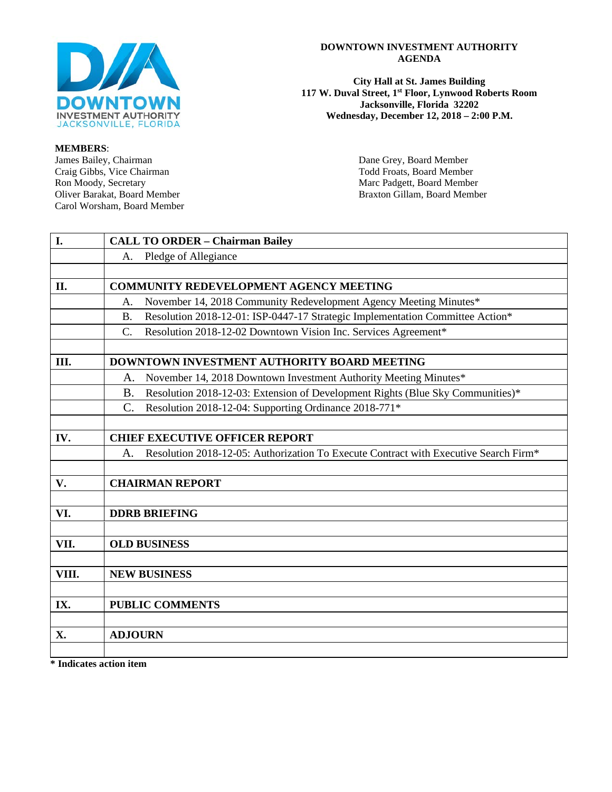

# **MEMBERS**:

Craig Gibbs, Vice Chairman<br>Ron Moody, Secretary Ron Moody, Secretary Marc Padgett, Board Member<br>
Oliver Barakat, Board Member<br>
Raxton Gillam, Board Member Carol Worsham, Board Member

#### **DOWNTOWN INVESTMENT AUTHORITY AGENDA**

**City Hall at St. James Building 117 W. Duval Street, 1st Floor, Lynwood Roberts Room Jacksonville, Florida 32202 Wednesday, December 12, 2018 – 2:00 P.M.**

> Dane Grey, Board Member<br>Todd Froats, Board Member Braxton Gillam, Board Member

| I.    | <b>CALL TO ORDER - Chairman Bailey</b>                                                     |  |  |
|-------|--------------------------------------------------------------------------------------------|--|--|
|       | Pledge of Allegiance<br>А.                                                                 |  |  |
|       |                                                                                            |  |  |
| II.   | <b>COMMUNITY REDEVELOPMENT AGENCY MEETING</b>                                              |  |  |
|       | November 14, 2018 Community Redevelopment Agency Meeting Minutes*<br>Α.                    |  |  |
|       | Resolution 2018-12-01: ISP-0447-17 Strategic Implementation Committee Action*<br><b>B.</b> |  |  |
|       | Resolution 2018-12-02 Downtown Vision Inc. Services Agreement*<br>C.                       |  |  |
|       |                                                                                            |  |  |
| Ш.    | DOWNTOWN INVESTMENT AUTHORITY BOARD MEETING                                                |  |  |
|       | November 14, 2018 Downtown Investment Authority Meeting Minutes*<br>A.                     |  |  |
|       | Resolution 2018-12-03: Extension of Development Rights (Blue Sky Communities)*<br>B.       |  |  |
|       | $\mathcal{C}$ .<br>Resolution 2018-12-04: Supporting Ordinance 2018-771*                   |  |  |
|       |                                                                                            |  |  |
| IV.   | <b>CHIEF EXECUTIVE OFFICER REPORT</b>                                                      |  |  |
|       | Resolution 2018-12-05: Authorization To Execute Contract with Executive Search Firm*<br>A. |  |  |
|       |                                                                                            |  |  |
| V.    | <b>CHAIRMAN REPORT</b>                                                                     |  |  |
|       |                                                                                            |  |  |
| VI.   | <b>DDRB BRIEFING</b>                                                                       |  |  |
|       |                                                                                            |  |  |
| VII.  | <b>OLD BUSINESS</b>                                                                        |  |  |
|       |                                                                                            |  |  |
| VIII. | <b>NEW BUSINESS</b>                                                                        |  |  |
|       |                                                                                            |  |  |
| IX.   | <b>PUBLIC COMMENTS</b>                                                                     |  |  |
|       |                                                                                            |  |  |
| X.    | <b>ADJOURN</b>                                                                             |  |  |
|       |                                                                                            |  |  |

**\* Indicates action item**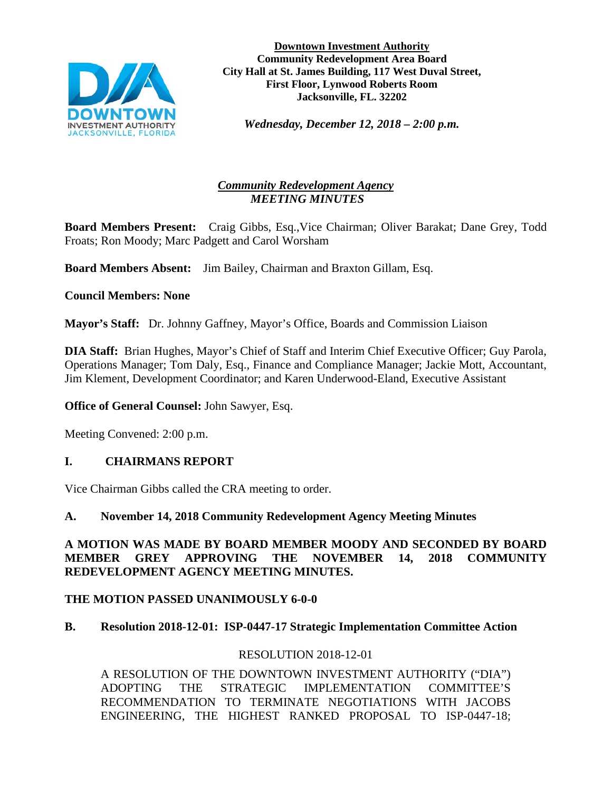

**Downtown Investment Authority Community Redevelopment Area Board City Hall at St. James Building, 117 West Duval Street, First Floor, Lynwood Roberts Room Jacksonville, FL. 32202** 

*Wednesday, December 12, 2018 – 2:00 p.m.* 

# *Community Redevelopment Agency MEETING MINUTES*

**Board Members Present:** Craig Gibbs, Esq.,Vice Chairman; Oliver Barakat; Dane Grey, Todd Froats; Ron Moody; Marc Padgett and Carol Worsham

**Board Members Absent:** Jim Bailey, Chairman and Braxton Gillam, Esq.

# **Council Members: None**

**Mayor's Staff:** Dr. Johnny Gaffney, Mayor's Office, Boards and Commission Liaison

**DIA Staff:** Brian Hughes, Mayor's Chief of Staff and Interim Chief Executive Officer; Guy Parola, Operations Manager; Tom Daly, Esq., Finance and Compliance Manager; Jackie Mott, Accountant, Jim Klement, Development Coordinator; and Karen Underwood-Eland, Executive Assistant

**Office of General Counsel:** John Sawyer, Esq.

Meeting Convened: 2:00 p.m.

# **I. CHAIRMANS REPORT**

Vice Chairman Gibbs called the CRA meeting to order.

# **A. November 14, 2018 Community Redevelopment Agency Meeting Minutes**

**A MOTION WAS MADE BY BOARD MEMBER MOODY AND SECONDED BY BOARD MEMBER GREY APPROVING THE NOVEMBER 14, 2018 COMMUNITY REDEVELOPMENT AGENCY MEETING MINUTES.**

# **THE MOTION PASSED UNANIMOUSLY 6-0-0**

# **B. Resolution 2018-12-01: ISP-0447-17 Strategic Implementation Committee Action**

# RESOLUTION 2018-12-01

A RESOLUTION OF THE DOWNTOWN INVESTMENT AUTHORITY ("DIA") ADOPTING THE STRATEGIC IMPLEMENTATION COMMITTEE'S RECOMMENDATION TO TERMINATE NEGOTIATIONS WITH JACOBS ENGINEERING, THE HIGHEST RANKED PROPOSAL TO ISP-0447-18;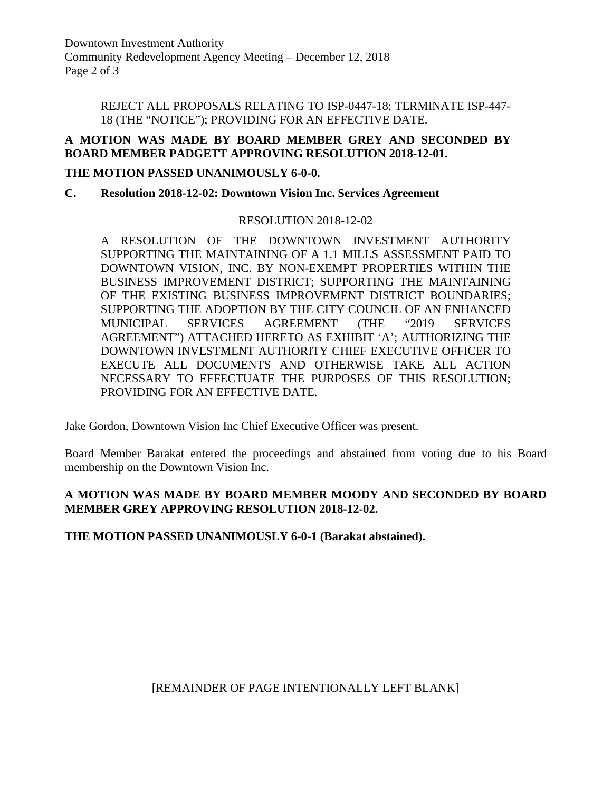Downtown Investment Authority Community Redevelopment Agency Meeting – December 12, 2018 Page 2 of 3

> REJECT ALL PROPOSALS RELATING TO ISP-0447-18; TERMINATE ISP-447- 18 (THE "NOTICE"); PROVIDING FOR AN EFFECTIVE DATE.

## **A MOTION WAS MADE BY BOARD MEMBER GREY AND SECONDED BY BOARD MEMBER PADGETT APPROVING RESOLUTION 2018-12-01.**

#### **THE MOTION PASSED UNANIMOUSLY 6-0-0.**

# **C. Resolution 2018-12-02: Downtown Vision Inc. Services Agreement**

#### RESOLUTION 2018-12-02

A RESOLUTION OF THE DOWNTOWN INVESTMENT AUTHORITY SUPPORTING THE MAINTAINING OF A 1.1 MILLS ASSESSMENT PAID TO DOWNTOWN VISION, INC. BY NON-EXEMPT PROPERTIES WITHIN THE BUSINESS IMPROVEMENT DISTRICT; SUPPORTING THE MAINTAINING OF THE EXISTING BUSINESS IMPROVEMENT DISTRICT BOUNDARIES; SUPPORTING THE ADOPTION BY THE CITY COUNCIL OF AN ENHANCED MUNICIPAL SERVICES AGREEMENT (THE "2019 SERVICES AGREEMENT") ATTACHED HERETO AS EXHIBIT 'A'; AUTHORIZING THE DOWNTOWN INVESTMENT AUTHORITY CHIEF EXECUTIVE OFFICER TO EXECUTE ALL DOCUMENTS AND OTHERWISE TAKE ALL ACTION NECESSARY TO EFFECTUATE THE PURPOSES OF THIS RESOLUTION; PROVIDING FOR AN EFFECTIVE DATE.

Jake Gordon, Downtown Vision Inc Chief Executive Officer was present.

Board Member Barakat entered the proceedings and abstained from voting due to his Board membership on the Downtown Vision Inc.

## **A MOTION WAS MADE BY BOARD MEMBER MOODY AND SECONDED BY BOARD MEMBER GREY APPROVING RESOLUTION 2018-12-02.**

**THE MOTION PASSED UNANIMOUSLY 6-0-1 (Barakat abstained).**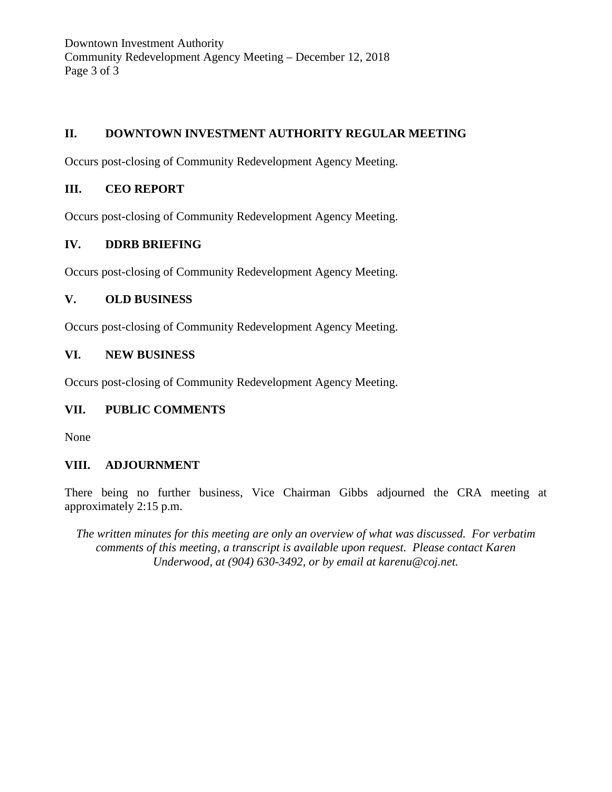Downtown Investment Authority Community Redevelopment Agency Meeting – December 12, 2018 Page 3 of 3

# **II. DOWNTOWN INVESTMENT AUTHORITY REGULAR MEETING**

Occurs post-closing of Community Redevelopment Agency Meeting.

# **III. CEO REPORT**

Occurs post-closing of Community Redevelopment Agency Meeting.

# **IV. DDRB BRIEFING**

Occurs post-closing of Community Redevelopment Agency Meeting.

## **V. OLD BUSINESS**

Occurs post-closing of Community Redevelopment Agency Meeting.

## **VI. NEW BUSINESS**

Occurs post-closing of Community Redevelopment Agency Meeting.

# **VII. PUBLIC COMMENTS**

None

# **VIII. ADJOURNMENT**

There being no further business, Vice Chairman Gibbs adjourned the CRA meeting at approximately 2:15 p.m.

*The written minutes for this meeting are only an overview of what was discussed. For verbatim comments of this meeting, a transcript is available upon request. Please contact Karen Underwood, at (904) 630-3492, or by email at karenu@coj.net.*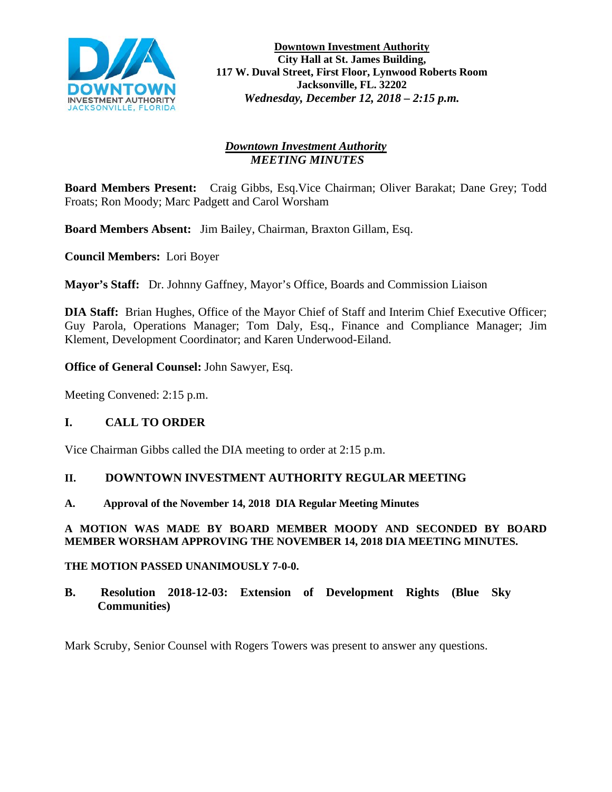

# *Downtown Investment Authority MEETING MINUTES*

**Board Members Present:** Craig Gibbs, Esq.Vice Chairman; Oliver Barakat; Dane Grey; Todd Froats; Ron Moody; Marc Padgett and Carol Worsham

**Board Members Absent:** Jim Bailey, Chairman, Braxton Gillam, Esq.

**Council Members:** Lori Boyer

**Mayor's Staff:** Dr. Johnny Gaffney, Mayor's Office, Boards and Commission Liaison

**DIA Staff:** Brian Hughes, Office of the Mayor Chief of Staff and Interim Chief Executive Officer; Guy Parola, Operations Manager; Tom Daly, Esq., Finance and Compliance Manager; Jim Klement, Development Coordinator; and Karen Underwood-Eiland.

**Office of General Counsel:** John Sawyer, Esq.

Meeting Convened: 2:15 p.m.

## **I. CALL TO ORDER**

Vice Chairman Gibbs called the DIA meeting to order at 2:15 p.m.

## **II. DOWNTOWN INVESTMENT AUTHORITY REGULAR MEETING**

**A. Approval of the November 14, 2018 DIA Regular Meeting Minutes**

#### **A MOTION WAS MADE BY BOARD MEMBER MOODY AND SECONDED BY BOARD MEMBER WORSHAM APPROVING THE NOVEMBER 14, 2018 DIA MEETING MINUTES.**

## **THE MOTION PASSED UNANIMOUSLY 7-0-0.**

**B. Resolution 2018-12-03: Extension of Development Rights (Blue Sky Communities)** 

Mark Scruby, Senior Counsel with Rogers Towers was present to answer any questions.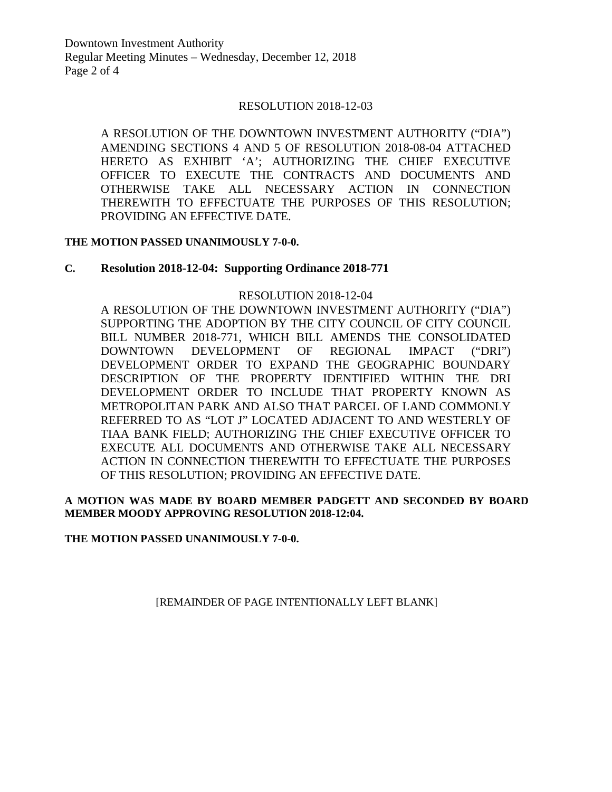Downtown Investment Authority Regular Meeting Minutes – Wednesday, December 12, 2018 Page 2 of 4

#### RESOLUTION 2018-12-03

A RESOLUTION OF THE DOWNTOWN INVESTMENT AUTHORITY ("DIA") AMENDING SECTIONS 4 AND 5 OF RESOLUTION 2018-08-04 ATTACHED HERETO AS EXHIBIT 'A'; AUTHORIZING THE CHIEF EXECUTIVE OFFICER TO EXECUTE THE CONTRACTS AND DOCUMENTS AND OTHERWISE TAKE ALL NECESSARY ACTION IN CONNECTION THEREWITH TO EFFECTUATE THE PURPOSES OF THIS RESOLUTION; PROVIDING AN EFFECTIVE DATE.

#### **THE MOTION PASSED UNANIMOUSLY 7-0-0.**

#### **C. Resolution 2018-12-04: Supporting Ordinance 2018-771**

#### RESOLUTION 2018-12-04

A RESOLUTION OF THE DOWNTOWN INVESTMENT AUTHORITY ("DIA") SUPPORTING THE ADOPTION BY THE CITY COUNCIL OF CITY COUNCIL BILL NUMBER 2018-771, WHICH BILL AMENDS THE CONSOLIDATED DOWNTOWN DEVELOPMENT OF REGIONAL IMPACT ("DRI") DEVELOPMENT ORDER TO EXPAND THE GEOGRAPHIC BOUNDARY DESCRIPTION OF THE PROPERTY IDENTIFIED WITHIN THE DRI DEVELOPMENT ORDER TO INCLUDE THAT PROPERTY KNOWN AS METROPOLITAN PARK AND ALSO THAT PARCEL OF LAND COMMONLY REFERRED TO AS "LOT J" LOCATED ADJACENT TO AND WESTERLY OF TIAA BANK FIELD; AUTHORIZING THE CHIEF EXECUTIVE OFFICER TO EXECUTE ALL DOCUMENTS AND OTHERWISE TAKE ALL NECESSARY ACTION IN CONNECTION THEREWITH TO EFFECTUATE THE PURPOSES OF THIS RESOLUTION; PROVIDING AN EFFECTIVE DATE.

#### **A MOTION WAS MADE BY BOARD MEMBER PADGETT AND SECONDED BY BOARD MEMBER MOODY APPROVING RESOLUTION 2018-12:04.**

**THE MOTION PASSED UNANIMOUSLY 7-0-0.**

[REMAINDER OF PAGE INTENTIONALLY LEFT BLANK]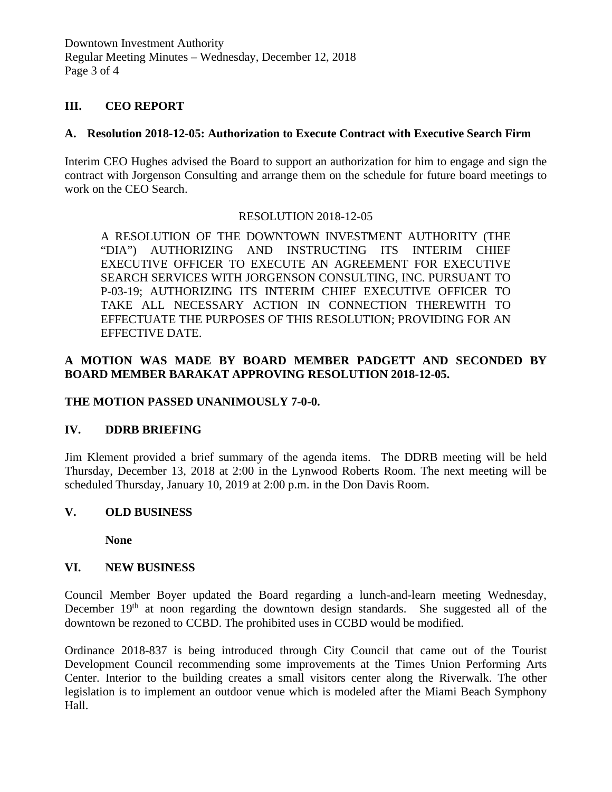Downtown Investment Authority Regular Meeting Minutes – Wednesday, December 12, 2018 Page 3 of 4

## **III. CEO REPORT**

## **A. Resolution 2018-12-05: Authorization to Execute Contract with Executive Search Firm**

Interim CEO Hughes advised the Board to support an authorization for him to engage and sign the contract with Jorgenson Consulting and arrange them on the schedule for future board meetings to work on the CEO Search.

## RESOLUTION 2018-12-05

A RESOLUTION OF THE DOWNTOWN INVESTMENT AUTHORITY (THE "DIA") AUTHORIZING AND INSTRUCTING ITS INTERIM CHIEF EXECUTIVE OFFICER TO EXECUTE AN AGREEMENT FOR EXECUTIVE SEARCH SERVICES WITH JORGENSON CONSULTING, INC. PURSUANT TO P-03-19; AUTHORIZING ITS INTERIM CHIEF EXECUTIVE OFFICER TO TAKE ALL NECESSARY ACTION IN CONNECTION THEREWITH TO EFFECTUATE THE PURPOSES OF THIS RESOLUTION; PROVIDING FOR AN EFFECTIVE DATE.

# **A MOTION WAS MADE BY BOARD MEMBER PADGETT AND SECONDED BY BOARD MEMBER BARAKAT APPROVING RESOLUTION 2018-12-05.**

## **THE MOTION PASSED UNANIMOUSLY 7-0-0.**

## **IV. DDRB BRIEFING**

Jim Klement provided a brief summary of the agenda items. The DDRB meeting will be held Thursday, December 13, 2018 at 2:00 in the Lynwood Roberts Room. The next meeting will be scheduled Thursday, January 10, 2019 at 2:00 p.m. in the Don Davis Room.

## **V. OLD BUSINESS**

**None** 

## **VI. NEW BUSINESS**

Council Member Boyer updated the Board regarding a lunch-and-learn meeting Wednesday, December  $19<sup>th</sup>$  at noon regarding the downtown design standards. She suggested all of the downtown be rezoned to CCBD. The prohibited uses in CCBD would be modified.

Ordinance 2018-837 is being introduced through City Council that came out of the Tourist Development Council recommending some improvements at the Times Union Performing Arts Center. Interior to the building creates a small visitors center along the Riverwalk. The other legislation is to implement an outdoor venue which is modeled after the Miami Beach Symphony Hall.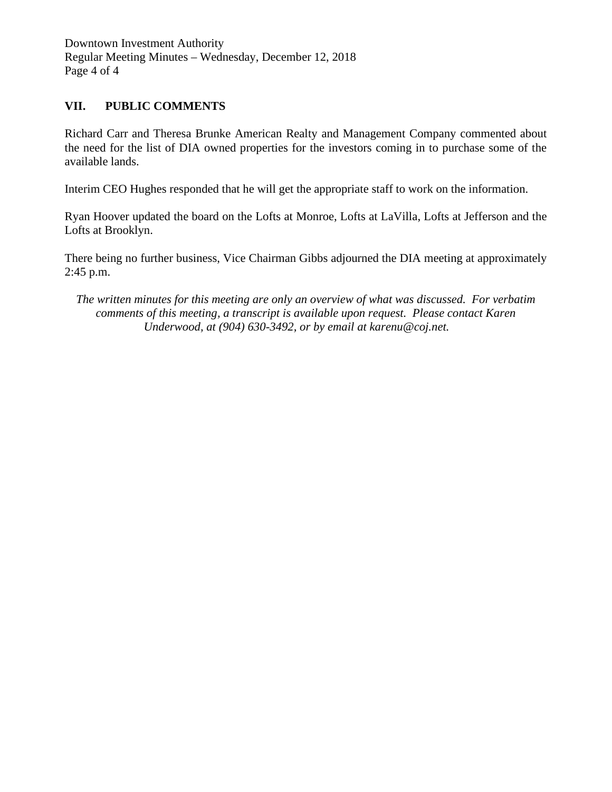Downtown Investment Authority Regular Meeting Minutes – Wednesday, December 12, 2018 Page 4 of 4

## **VII. PUBLIC COMMENTS**

Richard Carr and Theresa Brunke American Realty and Management Company commented about the need for the list of DIA owned properties for the investors coming in to purchase some of the available lands.

Interim CEO Hughes responded that he will get the appropriate staff to work on the information.

Ryan Hoover updated the board on the Lofts at Monroe, Lofts at LaVilla, Lofts at Jefferson and the Lofts at Brooklyn.

There being no further business, Vice Chairman Gibbs adjourned the DIA meeting at approximately 2:45 p.m.

*The written minutes for this meeting are only an overview of what was discussed. For verbatim comments of this meeting, a transcript is available upon request. Please contact Karen Underwood, at (904) 630-3492, or by email at karenu@coj.net.*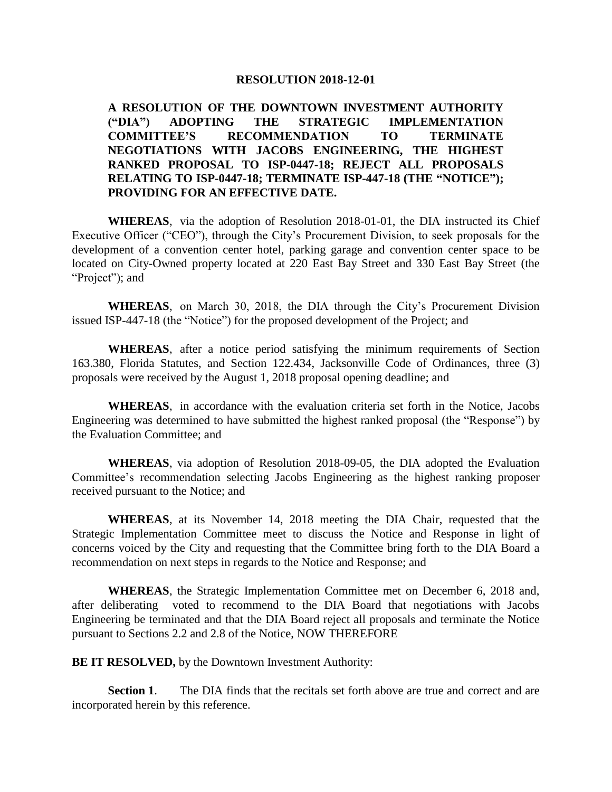**A RESOLUTION OF THE DOWNTOWN INVESTMENT AUTHORITY ("DIA") ADOPTING THE STRATEGIC IMPLEMENTATION COMMITTEE'S RECOMMENDATION TO TERMINATE NEGOTIATIONS WITH JACOBS ENGINEERING, THE HIGHEST RANKED PROPOSAL TO ISP-0447-18; REJECT ALL PROPOSALS RELATING TO ISP-0447-18; TERMINATE ISP-447-18 (THE "NOTICE"); PROVIDING FOR AN EFFECTIVE DATE.** 

**WHEREAS**, via the adoption of Resolution 2018-01-01, the DIA instructed its Chief Executive Officer ("CEO"), through the City's Procurement Division, to seek proposals for the development of a convention center hotel, parking garage and convention center space to be located on City-Owned property located at 220 East Bay Street and 330 East Bay Street (the "Project"); and

**WHEREAS**, on March 30, 2018, the DIA through the City's Procurement Division issued ISP-447-18 (the "Notice") for the proposed development of the Project; and

**WHEREAS**, after a notice period satisfying the minimum requirements of Section 163.380, Florida Statutes, and Section 122.434, Jacksonville Code of Ordinances, three (3) proposals were received by the August 1, 2018 proposal opening deadline; and

**WHEREAS**, in accordance with the evaluation criteria set forth in the Notice, Jacobs Engineering was determined to have submitted the highest ranked proposal (the "Response") by the Evaluation Committee; and

**WHEREAS**, via adoption of Resolution 2018-09-05, the DIA adopted the Evaluation Committee's recommendation selecting Jacobs Engineering as the highest ranking proposer received pursuant to the Notice; and

**WHEREAS**, at its November 14, 2018 meeting the DIA Chair, requested that the Strategic Implementation Committee meet to discuss the Notice and Response in light of concerns voiced by the City and requesting that the Committee bring forth to the DIA Board a recommendation on next steps in regards to the Notice and Response; and

**WHEREAS**, the Strategic Implementation Committee met on December 6, 2018 and, after deliberating voted to recommend to the DIA Board that negotiations with Jacobs Engineering be terminated and that the DIA Board reject all proposals and terminate the Notice pursuant to Sections 2.2 and 2.8 of the Notice, NOW THEREFORE

**BE IT RESOLVED, by the Downtown Investment Authority:** 

**Section 1.** The DIA finds that the recitals set forth above are true and correct and are incorporated herein by this reference.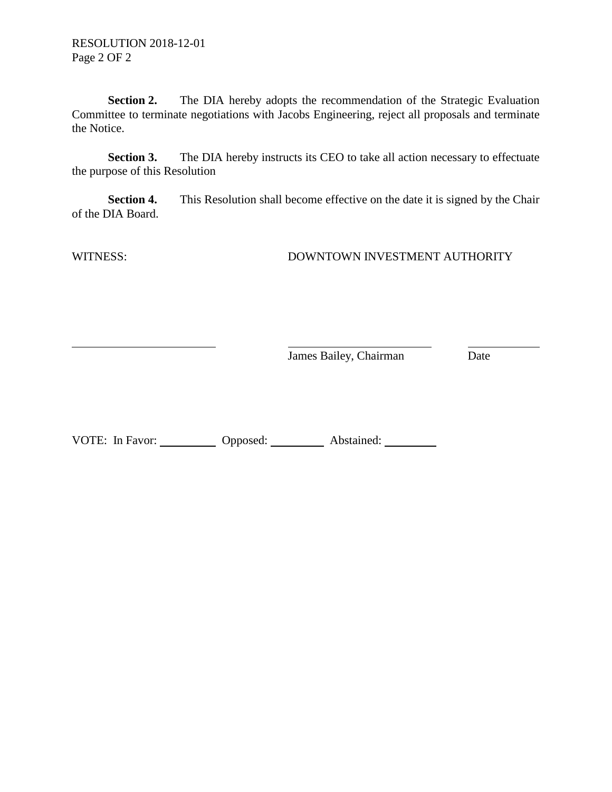**Section 2.** The DIA hereby adopts the recommendation of the Strategic Evaluation Committee to terminate negotiations with Jacobs Engineering, reject all proposals and terminate the Notice.

**Section 3.** The DIA hereby instructs its CEO to take all action necessary to effectuate the purpose of this Resolution

**Section 4.** This Resolution shall become effective on the date it is signed by the Chair of the DIA Board.

WITNESS: DOWNTOWN INVESTMENT AUTHORITY

**James Bailey, Chairman** Date

VOTE: In Favor: Opposed: Abstained: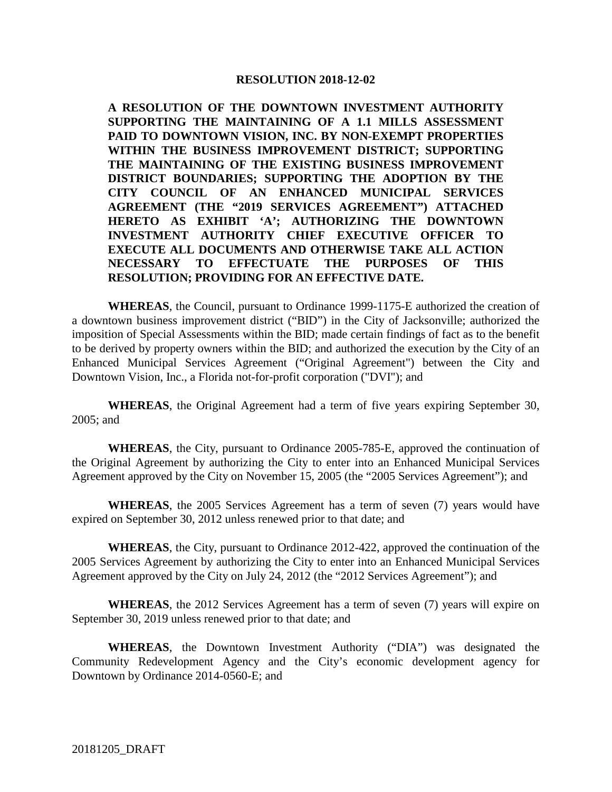**A RESOLUTION OF THE DOWNTOWN INVESTMENT AUTHORITY SUPPORTING THE MAINTAINING OF A 1.1 MILLS ASSESSMENT PAID TO DOWNTOWN VISION, INC. BY NON-EXEMPT PROPERTIES WITHIN THE BUSINESS IMPROVEMENT DISTRICT; SUPPORTING THE MAINTAINING OF THE EXISTING BUSINESS IMPROVEMENT DISTRICT BOUNDARIES; SUPPORTING THE ADOPTION BY THE CITY COUNCIL OF AN ENHANCED MUNICIPAL SERVICES AGREEMENT (THE "2019 SERVICES AGREEMENT") ATTACHED HERETO AS EXHIBIT 'A'; AUTHORIZING THE DOWNTOWN INVESTMENT AUTHORITY CHIEF EXECUTIVE OFFICER TO EXECUTE ALL DOCUMENTS AND OTHERWISE TAKE ALL ACTION NECESSARY TO EFFECTUATE THE PURPOSES OF THIS RESOLUTION; PROVIDING FOR AN EFFECTIVE DATE.**

**WHEREAS**, the Council, pursuant to Ordinance 1999-1175-E authorized the creation of a downtown business improvement district ("BID") in the City of Jacksonville; authorized the imposition of Special Assessments within the BID; made certain findings of fact as to the benefit to be derived by property owners within the BID; and authorized the execution by the City of an Enhanced Municipal Services Agreement ("Original Agreement") between the City and Downtown Vision, Inc., a Florida not-for-profit corporation ("DVI"); and

**WHEREAS**, the Original Agreement had a term of five years expiring September 30, 2005; and

**WHEREAS**, the City, pursuant to Ordinance 2005-785-E, approved the continuation of the Original Agreement by authorizing the City to enter into an Enhanced Municipal Services Agreement approved by the City on November 15, 2005 (the "2005 Services Agreement"); and

**WHEREAS**, the 2005 Services Agreement has a term of seven (7) years would have expired on September 30, 2012 unless renewed prior to that date; and

**WHEREAS**, the City, pursuant to Ordinance 2012-422, approved the continuation of the 2005 Services Agreement by authorizing the City to enter into an Enhanced Municipal Services Agreement approved by the City on July 24, 2012 (the "2012 Services Agreement"); and

**WHEREAS**, the 2012 Services Agreement has a term of seven (7) years will expire on September 30, 2019 unless renewed prior to that date; and

**WHEREAS**, the Downtown Investment Authority ("DIA") was designated the Community Redevelopment Agency and the City's economic development agency for Downtown by Ordinance 2014-0560-E; and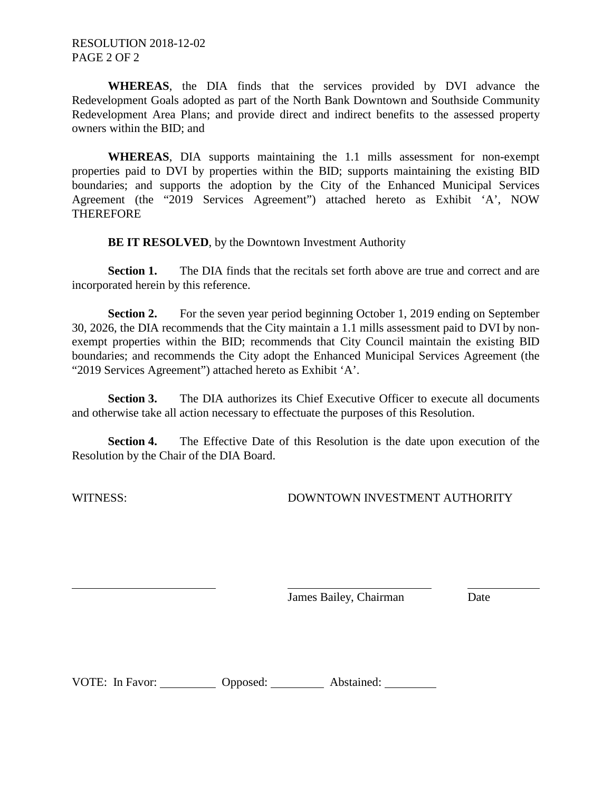**WHEREAS**, the DIA finds that the services provided by DVI advance the Redevelopment Goals adopted as part of the North Bank Downtown and Southside Community Redevelopment Area Plans; and provide direct and indirect benefits to the assessed property owners within the BID; and

**WHEREAS**, DIA supports maintaining the 1.1 mills assessment for non-exempt properties paid to DVI by properties within the BID; supports maintaining the existing BID boundaries; and supports the adoption by the City of the Enhanced Municipal Services Agreement (the "2019 Services Agreement") attached hereto as Exhibit 'A', NOW THEREFORE

**BE IT RESOLVED**, by the Downtown Investment Authority

**Section 1.** The DIA finds that the recitals set forth above are true and correct and are incorporated herein by this reference.

**Section 2.** For the seven year period beginning October 1, 2019 ending on September 30, 2026, the DIA recommends that the City maintain a 1.1 mills assessment paid to DVI by nonexempt properties within the BID; recommends that City Council maintain the existing BID boundaries; and recommends the City adopt the Enhanced Municipal Services Agreement (the "2019 Services Agreement") attached hereto as Exhibit 'A'.

**Section 3.** The DIA authorizes its Chief Executive Officer to execute all documents and otherwise take all action necessary to effectuate the purposes of this Resolution.

**Section 4.** The Effective Date of this Resolution is the date upon execution of the Resolution by the Chair of the DIA Board.

WITNESS: DOWNTOWN INVESTMENT AUTHORITY

James Bailey, Chairman Date

| VOTE: In Favor: | Opposed: | Abstained: |
|-----------------|----------|------------|
|-----------------|----------|------------|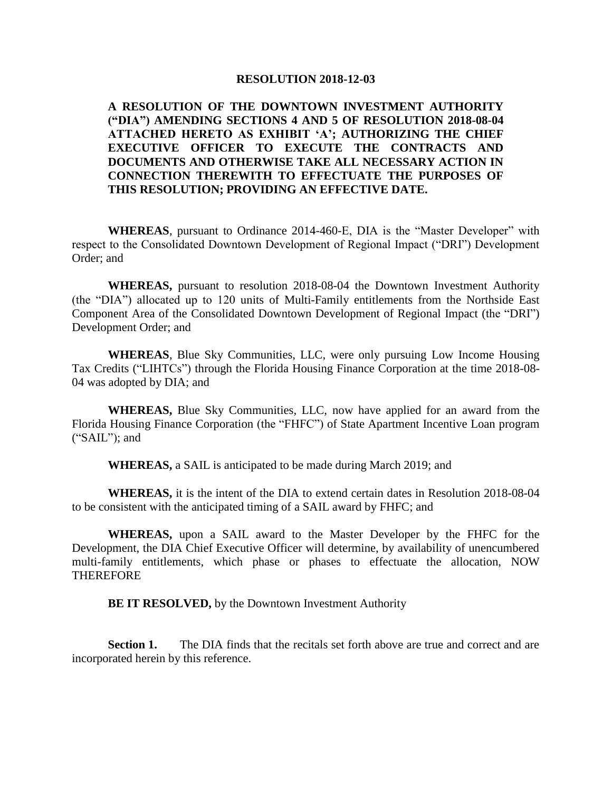## **A RESOLUTION OF THE DOWNTOWN INVESTMENT AUTHORITY ("DIA") AMENDING SECTIONS 4 AND 5 OF RESOLUTION 2018-08-04 ATTACHED HERETO AS EXHIBIT 'A'; AUTHORIZING THE CHIEF EXECUTIVE OFFICER TO EXECUTE THE CONTRACTS AND DOCUMENTS AND OTHERWISE TAKE ALL NECESSARY ACTION IN CONNECTION THEREWITH TO EFFECTUATE THE PURPOSES OF THIS RESOLUTION; PROVIDING AN EFFECTIVE DATE.**

**WHEREAS**, pursuant to Ordinance 2014-460-E, DIA is the "Master Developer" with respect to the Consolidated Downtown Development of Regional Impact ("DRI") Development Order; and

**WHEREAS,** pursuant to resolution 2018-08-04 the Downtown Investment Authority (the "DIA") allocated up to 120 units of Multi-Family entitlements from the Northside East Component Area of the Consolidated Downtown Development of Regional Impact (the "DRI") Development Order; and

**WHEREAS**, Blue Sky Communities, LLC, were only pursuing Low Income Housing Tax Credits ("LIHTCs") through the Florida Housing Finance Corporation at the time 2018-08- 04 was adopted by DIA; and

**WHEREAS,** Blue Sky Communities, LLC, now have applied for an award from the Florida Housing Finance Corporation (the "FHFC") of State Apartment Incentive Loan program ("SAIL"); and

**WHEREAS,** a SAIL is anticipated to be made during March 2019; and

**WHEREAS,** it is the intent of the DIA to extend certain dates in Resolution 2018-08-04 to be consistent with the anticipated timing of a SAIL award by FHFC; and

**WHEREAS,** upon a SAIL award to the Master Developer by the FHFC for the Development, the DIA Chief Executive Officer will determine, by availability of unencumbered multi-family entitlements, which phase or phases to effectuate the allocation, NOW **THEREFORE** 

**BE IT RESOLVED,** by the Downtown Investment Authority

**Section 1.** The DIA finds that the recitals set forth above are true and correct and are incorporated herein by this reference.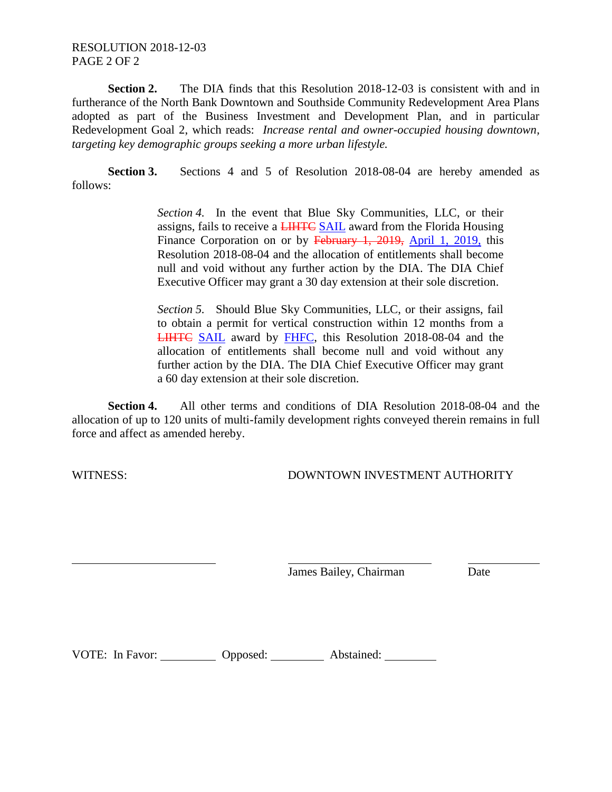## RESOLUTION 2018-12-03 PAGE 2 OF 2

**Section 2.** The DIA finds that this Resolution 2018-12-03 is consistent with and in furtherance of the North Bank Downtown and Southside Community Redevelopment Area Plans adopted as part of the Business Investment and Development Plan, and in particular Redevelopment Goal 2, which reads: *Increase rental and owner-occupied housing downtown, targeting key demographic groups seeking a more urban lifestyle.*

**Section 3.** Sections 4 and 5 of Resolution 2018-08-04 are hereby amended as follows:

> *Section 4.* In the event that Blue Sky Communities, LLC, or their assigns, fails to receive a **LIHTC SAIL** award from the Florida Housing Finance Corporation on or by February 1, 2019, April 1, 2019, this Resolution 2018-08-04 and the allocation of entitlements shall become null and void without any further action by the DIA. The DIA Chief Executive Officer may grant a 30 day extension at their sole discretion.

> *Section 5.* Should Blue Sky Communities, LLC, or their assigns, fail to obtain a permit for vertical construction within 12 months from a LIHTC SAIL award by FHFC, this Resolution 2018-08-04 and the allocation of entitlements shall become null and void without any further action by the DIA. The DIA Chief Executive Officer may grant a 60 day extension at their sole discretion.

**Section 4.** All other terms and conditions of DIA Resolution 2018-08-04 and the allocation of up to 120 units of multi-family development rights conveyed therein remains in full force and affect as amended hereby.

WITNESS: DOWNTOWN INVESTMENT AUTHORITY

James Bailey, Chairman Date

VOTE: In Favor: Opposed: Abstained: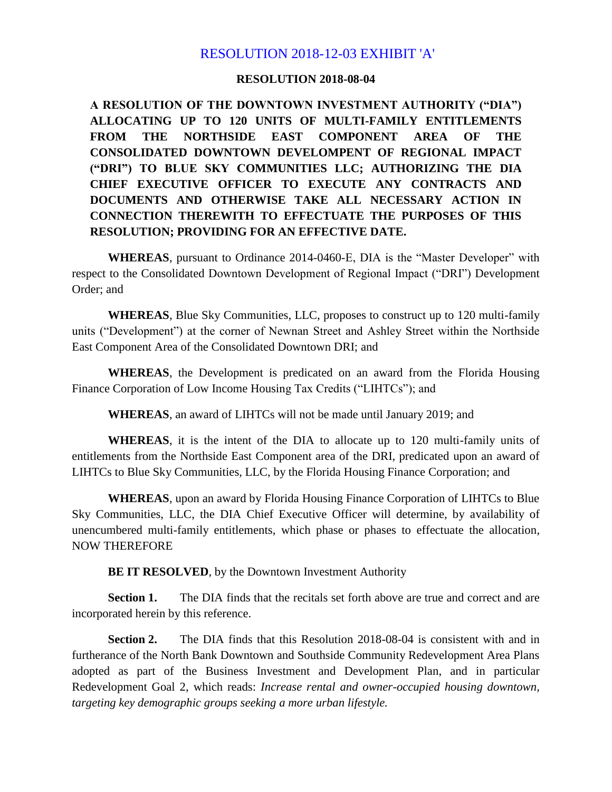# RESOLUTION 2018-12-03 EXHIBIT 'A'

#### **RESOLUTION 2018-08-04**

**A RESOLUTION OF THE DOWNTOWN INVESTMENT AUTHORITY ("DIA") ALLOCATING UP TO 120 UNITS OF MULTI-FAMILY ENTITLEMENTS FROM THE NORTHSIDE EAST COMPONENT AREA OF THE CONSOLIDATED DOWNTOWN DEVELOMPENT OF REGIONAL IMPACT ("DRI") TO BLUE SKY COMMUNITIES LLC; AUTHORIZING THE DIA CHIEF EXECUTIVE OFFICER TO EXECUTE ANY CONTRACTS AND DOCUMENTS AND OTHERWISE TAKE ALL NECESSARY ACTION IN CONNECTION THEREWITH TO EFFECTUATE THE PURPOSES OF THIS RESOLUTION; PROVIDING FOR AN EFFECTIVE DATE.**

**WHEREAS**, pursuant to Ordinance 2014-0460-E, DIA is the "Master Developer" with respect to the Consolidated Downtown Development of Regional Impact ("DRI") Development Order; and

**WHEREAS**, Blue Sky Communities, LLC, proposes to construct up to 120 multi-family units ("Development") at the corner of Newnan Street and Ashley Street within the Northside East Component Area of the Consolidated Downtown DRI; and

**WHEREAS**, the Development is predicated on an award from the Florida Housing Finance Corporation of Low Income Housing Tax Credits ("LIHTCs"); and

**WHEREAS**, an award of LIHTCs will not be made until January 2019; and

**WHEREAS**, it is the intent of the DIA to allocate up to 120 multi-family units of entitlements from the Northside East Component area of the DRI, predicated upon an award of LIHTCs to Blue Sky Communities, LLC, by the Florida Housing Finance Corporation; and

**WHEREAS**, upon an award by Florida Housing Finance Corporation of LIHTCs to Blue Sky Communities, LLC, the DIA Chief Executive Officer will determine, by availability of unencumbered multi-family entitlements, which phase or phases to effectuate the allocation, NOW THEREFORE

**BE IT RESOLVED**, by the Downtown Investment Authority

**Section 1.** The DIA finds that the recitals set forth above are true and correct and are incorporated herein by this reference.

**Section 2.** The DIA finds that this Resolution 2018-08-04 is consistent with and in furtherance of the North Bank Downtown and Southside Community Redevelopment Area Plans adopted as part of the Business Investment and Development Plan, and in particular Redevelopment Goal 2, which reads: *Increase rental and owner-occupied housing downtown, targeting key demographic groups seeking a more urban lifestyle.*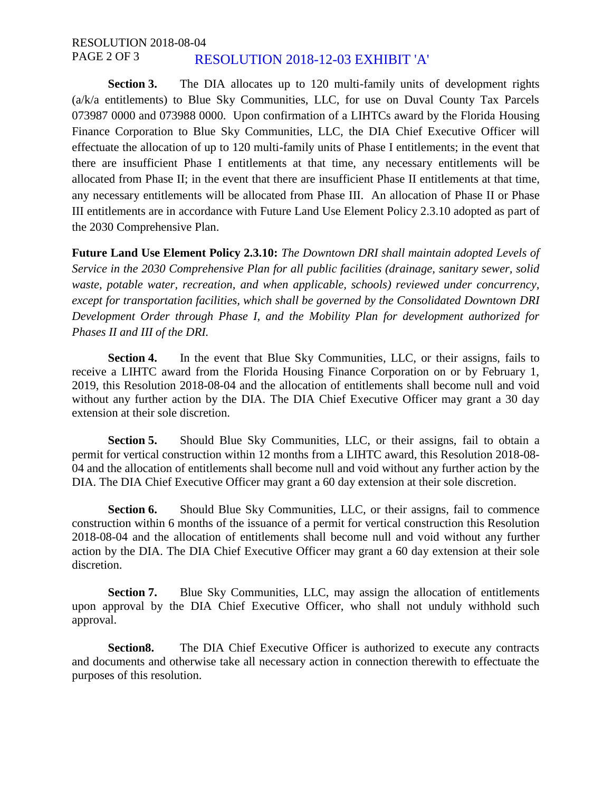#### RESOLUTION 2018-08-04 PAGE 2 OF 3 RESOLUTION 2018-12-03 EXHIBIT 'A'

**Section 3.** The DIA allocates up to 120 multi-family units of development rights (a/k/a entitlements) to Blue Sky Communities, LLC, for use on Duval County Tax Parcels 073987 0000 and 073988 0000. Upon confirmation of a LIHTCs award by the Florida Housing Finance Corporation to Blue Sky Communities, LLC, the DIA Chief Executive Officer will effectuate the allocation of up to 120 multi-family units of Phase I entitlements; in the event that there are insufficient Phase I entitlements at that time, any necessary entitlements will be allocated from Phase II; in the event that there are insufficient Phase II entitlements at that time, any necessary entitlements will be allocated from Phase III. An allocation of Phase II or Phase III entitlements are in accordance with Future Land Use Element Policy 2.3.10 adopted as part of the 2030 Comprehensive Plan.

**Future Land Use Element Policy 2.3.10:** *The Downtown DRI shall maintain adopted Levels of Service in the 2030 Comprehensive Plan for all public facilities (drainage, sanitary sewer, solid waste, potable water, recreation, and when applicable, schools) reviewed under concurrency, except for transportation facilities, which shall be governed by the Consolidated Downtown DRI Development Order through Phase I, and the Mobility Plan for development authorized for Phases II and III of the DRI.*

**Section 4.** In the event that Blue Sky Communities, LLC, or their assigns, fails to receive a LIHTC award from the Florida Housing Finance Corporation on or by February 1, 2019, this Resolution 2018-08-04 and the allocation of entitlements shall become null and void without any further action by the DIA. The DIA Chief Executive Officer may grant a 30 day extension at their sole discretion.

Section 5. Should Blue Sky Communities, LLC, or their assigns, fail to obtain a permit for vertical construction within 12 months from a LIHTC award, this Resolution 2018-08- 04 and the allocation of entitlements shall become null and void without any further action by the DIA. The DIA Chief Executive Officer may grant a 60 day extension at their sole discretion.

**Section 6.** Should Blue Sky Communities, LLC, or their assigns, fail to commence construction within 6 months of the issuance of a permit for vertical construction this Resolution 2018-08-04 and the allocation of entitlements shall become null and void without any further action by the DIA. The DIA Chief Executive Officer may grant a 60 day extension at their sole discretion.

**Section 7.** Blue Sky Communities, LLC, may assign the allocation of entitlements upon approval by the DIA Chief Executive Officer, who shall not unduly withhold such approval.

**Section8.** The DIA Chief Executive Officer is authorized to execute any contracts and documents and otherwise take all necessary action in connection therewith to effectuate the purposes of this resolution.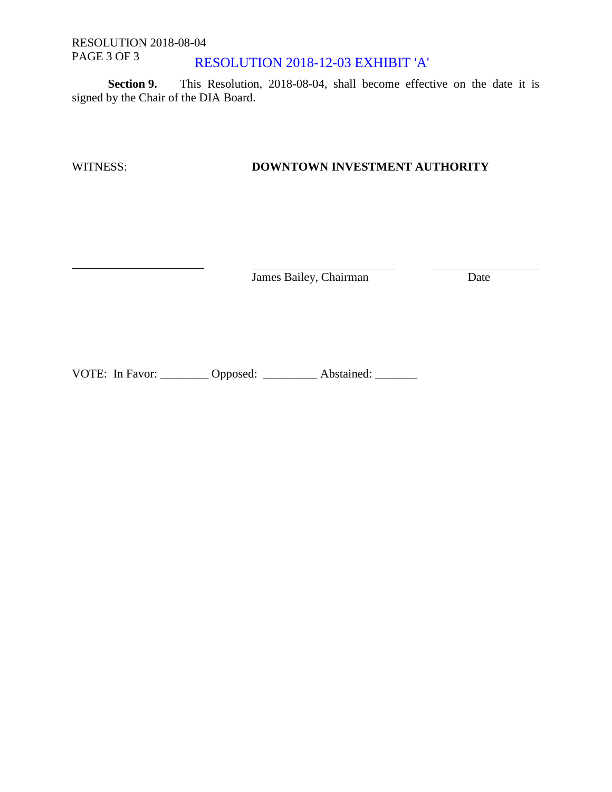#### RESOLUTION 2018-08-04 PAGE 3 OF 3 RESOLUTION 2018-12-03 EXHIBIT 'A'

**Section 9.** This Resolution, 2018-08-04, shall become effective on the date it is signed by the Chair of the DIA Board.

\_\_\_\_\_\_\_\_\_\_\_\_\_\_\_\_\_\_\_\_\_\_

# WITNESS: **DOWNTOWN INVESTMENT AUTHORITY**

James Bailey, Chairman Date

VOTE: In Favor: \_\_\_\_\_\_\_\_ Opposed: \_\_\_\_\_\_\_\_ Abstained: \_\_\_\_\_\_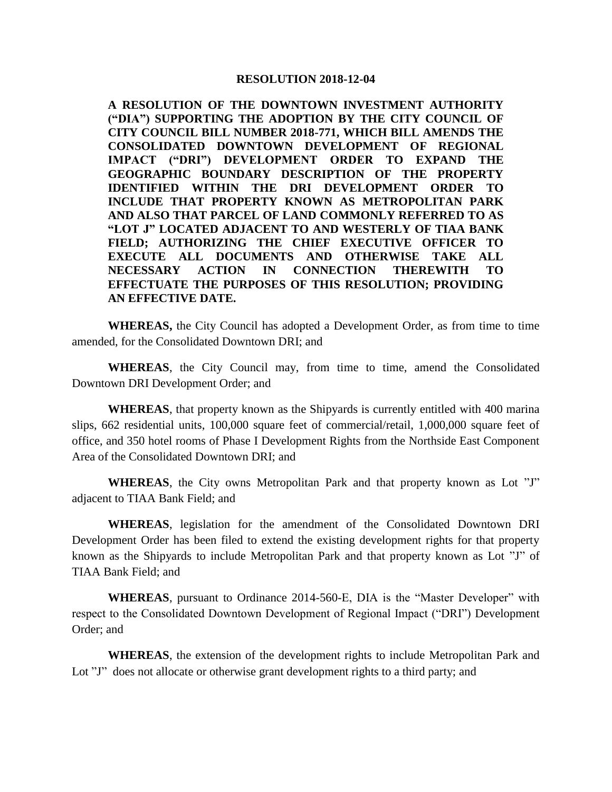**A RESOLUTION OF THE DOWNTOWN INVESTMENT AUTHORITY ("DIA") SUPPORTING THE ADOPTION BY THE CITY COUNCIL OF CITY COUNCIL BILL NUMBER 2018-771, WHICH BILL AMENDS THE CONSOLIDATED DOWNTOWN DEVELOPMENT OF REGIONAL IMPACT ("DRI") DEVELOPMENT ORDER TO EXPAND THE GEOGRAPHIC BOUNDARY DESCRIPTION OF THE PROPERTY IDENTIFIED WITHIN THE DRI DEVELOPMENT ORDER TO INCLUDE THAT PROPERTY KNOWN AS METROPOLITAN PARK AND ALSO THAT PARCEL OF LAND COMMONLY REFERRED TO AS "LOT J" LOCATED ADJACENT TO AND WESTERLY OF TIAA BANK FIELD; AUTHORIZING THE CHIEF EXECUTIVE OFFICER TO EXECUTE ALL DOCUMENTS AND OTHERWISE TAKE ALL NECESSARY ACTION IN CONNECTION THEREWITH TO EFFECTUATE THE PURPOSES OF THIS RESOLUTION; PROVIDING AN EFFECTIVE DATE.**

**WHEREAS,** the City Council has adopted a Development Order, as from time to time amended, for the Consolidated Downtown DRI; and

**WHEREAS**, the City Council may, from time to time, amend the Consolidated Downtown DRI Development Order; and

**WHEREAS**, that property known as the Shipyards is currently entitled with 400 marina slips, 662 residential units, 100,000 square feet of commercial/retail, 1,000,000 square feet of office, and 350 hotel rooms of Phase I Development Rights from the Northside East Component Area of the Consolidated Downtown DRI; and

**WHEREAS**, the City owns Metropolitan Park and that property known as Lot "J" adjacent to TIAA Bank Field; and

**WHEREAS**, legislation for the amendment of the Consolidated Downtown DRI Development Order has been filed to extend the existing development rights for that property known as the Shipyards to include Metropolitan Park and that property known as Lot "J" of TIAA Bank Field; and

**WHEREAS**, pursuant to Ordinance 2014-560-E, DIA is the "Master Developer" with respect to the Consolidated Downtown Development of Regional Impact ("DRI") Development Order; and

**WHEREAS**, the extension of the development rights to include Metropolitan Park and Lot "J" does not allocate or otherwise grant development rights to a third party; and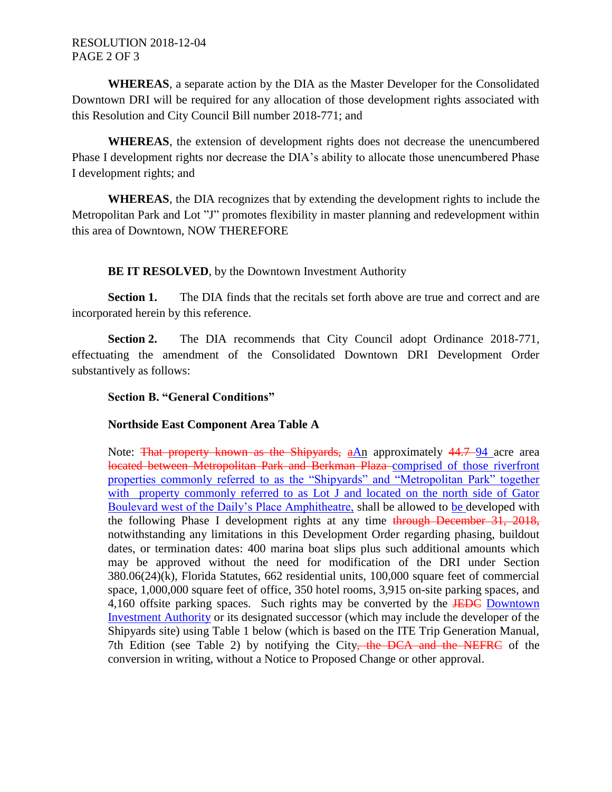**WHEREAS**, a separate action by the DIA as the Master Developer for the Consolidated Downtown DRI will be required for any allocation of those development rights associated with this Resolution and City Council Bill number 2018-771; and

**WHEREAS**, the extension of development rights does not decrease the unencumbered Phase I development rights nor decrease the DIA's ability to allocate those unencumbered Phase I development rights; and

**WHEREAS**, the DIA recognizes that by extending the development rights to include the Metropolitan Park and Lot "J" promotes flexibility in master planning and redevelopment within this area of Downtown, NOW THEREFORE

**BE IT RESOLVED**, by the Downtown Investment Authority

**Section 1.** The DIA finds that the recitals set forth above are true and correct and are incorporated herein by this reference.

**Section 2.** The DIA recommends that City Council adopt Ordinance 2018-771, effectuating the amendment of the Consolidated Downtown DRI Development Order substantively as follows:

# **Section B. "General Conditions"**

# **Northside East Component Area Table A**

Note: That property known as the Shipyards,  $aAn$  approximately  $44.7-94$  acre area located between Metropolitan Park and Berkman Plaza comprised of those riverfront properties commonly referred to as the "Shipyards" and "Metropolitan Park" together with property commonly referred to as Lot J and located on the north side of Gator Boulevard west of the Daily's Place Amphitheatre, shall be allowed to be developed with the following Phase I development rights at any time through December 31, 2018, notwithstanding any limitations in this Development Order regarding phasing, buildout dates, or termination dates: 400 marina boat slips plus such additional amounts which may be approved without the need for modification of the DRI under Section 380.06(24)(k), Florida Statutes, 662 residential units, 100,000 square feet of commercial space, 1,000,000 square feet of office, 350 hotel rooms, 3,915 on-site parking spaces, and 4,160 offsite parking spaces. Such rights may be converted by the JEDC Downtown Investment Authority or its designated successor (which may include the developer of the Shipyards site) using Table 1 below (which is based on the ITE Trip Generation Manual, 7th Edition (see Table 2) by notifying the City, the DCA and the NEFRC of the conversion in writing, without a Notice to Proposed Change or other approval.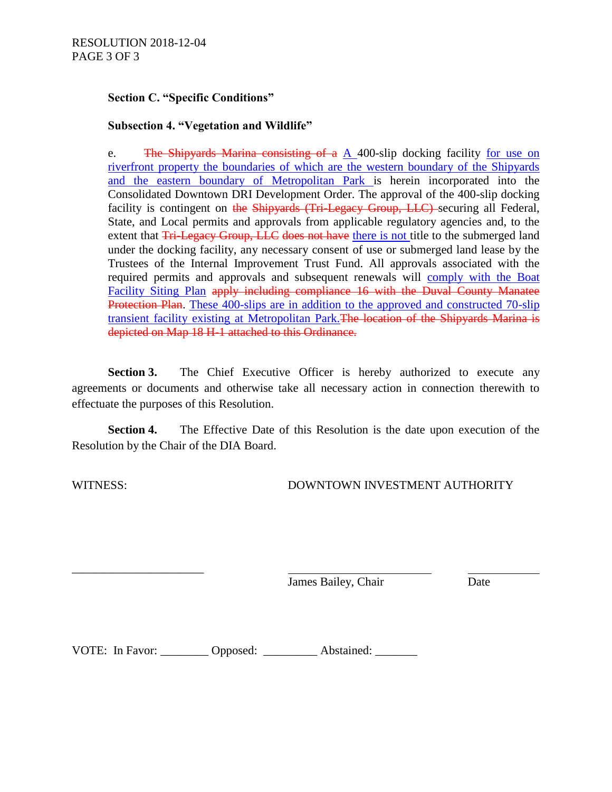## **Section C. "Specific Conditions"**

## **Subsection 4. "Vegetation and Wildlife"**

e. The Shipyards Marina consisting of a A 400-slip docking facility for use on riverfront property the boundaries of which are the western boundary of the Shipyards and the eastern boundary of Metropolitan Park is herein incorporated into the Consolidated Downtown DRI Development Order. The approval of the 400-slip docking facility is contingent on the Shipyards (Tri-Legacy Group, LLC) securing all Federal, State, and Local permits and approvals from applicable regulatory agencies and, to the extent that Tri-Legacy Group, LLC does not have there is not title to the submerged land under the docking facility, any necessary consent of use or submerged land lease by the Trustees of the Internal Improvement Trust Fund. All approvals associated with the required permits and approvals and subsequent renewals will comply with the Boat Facility Siting Plan apply including compliance 16 with the Duval County Manatee Protection Plan. These 400-slips are in addition to the approved and constructed 70-slip transient facility existing at Metropolitan Park.The location of the Shipyards Marina is depicted on Map 18 H-1 attached to this Ordinance.

**Section 3.** The Chief Executive Officer is hereby authorized to execute any agreements or documents and otherwise take all necessary action in connection therewith to effectuate the purposes of this Resolution.

**Section 4.** The Effective Date of this Resolution is the date upon execution of the Resolution by the Chair of the DIA Board.

\_\_\_\_\_\_\_\_\_\_\_\_\_\_\_\_\_\_\_\_\_\_

WITNESS: DOWNTOWN INVESTMENT AUTHORITY

James Bailey, Chair Date

VOTE: In Favor: Copposed: Abstained: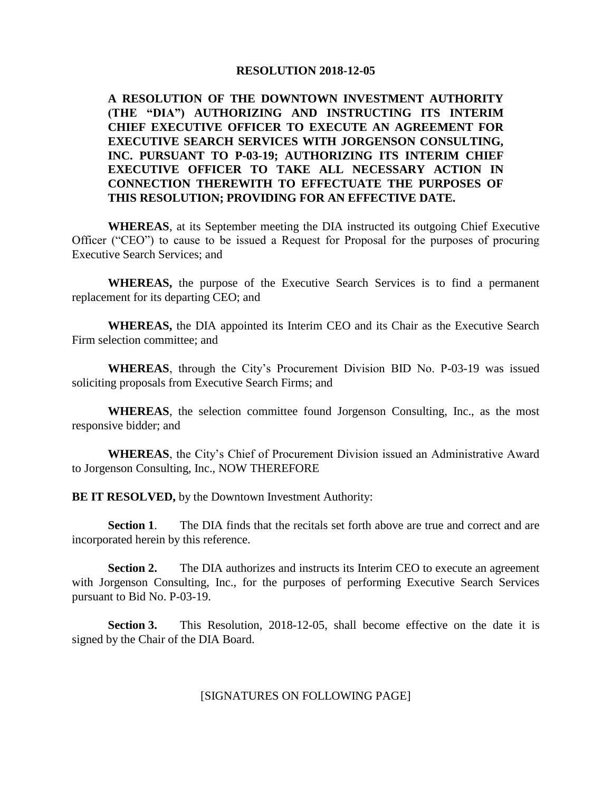**A RESOLUTION OF THE DOWNTOWN INVESTMENT AUTHORITY (THE "DIA") AUTHORIZING AND INSTRUCTING ITS INTERIM CHIEF EXECUTIVE OFFICER TO EXECUTE AN AGREEMENT FOR EXECUTIVE SEARCH SERVICES WITH JORGENSON CONSULTING, INC. PURSUANT TO P-03-19; AUTHORIZING ITS INTERIM CHIEF EXECUTIVE OFFICER TO TAKE ALL NECESSARY ACTION IN CONNECTION THEREWITH TO EFFECTUATE THE PURPOSES OF THIS RESOLUTION; PROVIDING FOR AN EFFECTIVE DATE.**

**WHEREAS**, at its September meeting the DIA instructed its outgoing Chief Executive Officer ("CEO") to cause to be issued a Request for Proposal for the purposes of procuring Executive Search Services; and

**WHEREAS,** the purpose of the Executive Search Services is to find a permanent replacement for its departing CEO; and

**WHEREAS,** the DIA appointed its Interim CEO and its Chair as the Executive Search Firm selection committee; and

**WHEREAS**, through the City's Procurement Division BID No. P-03-19 was issued soliciting proposals from Executive Search Firms; and

**WHEREAS**, the selection committee found Jorgenson Consulting, Inc., as the most responsive bidder; and

**WHEREAS**, the City's Chief of Procurement Division issued an Administrative Award to Jorgenson Consulting, Inc., NOW THEREFORE

**BE IT RESOLVED,** by the Downtown Investment Authority:

**Section 1**. The DIA finds that the recitals set forth above are true and correct and are incorporated herein by this reference.

**Section 2.** The DIA authorizes and instructs its Interim CEO to execute an agreement with Jorgenson Consulting, Inc., for the purposes of performing Executive Search Services pursuant to Bid No. P-03-19.

**Section 3.** This Resolution, 2018-12-05, shall become effective on the date it is signed by the Chair of the DIA Board.

[SIGNATURES ON FOLLOWING PAGE]